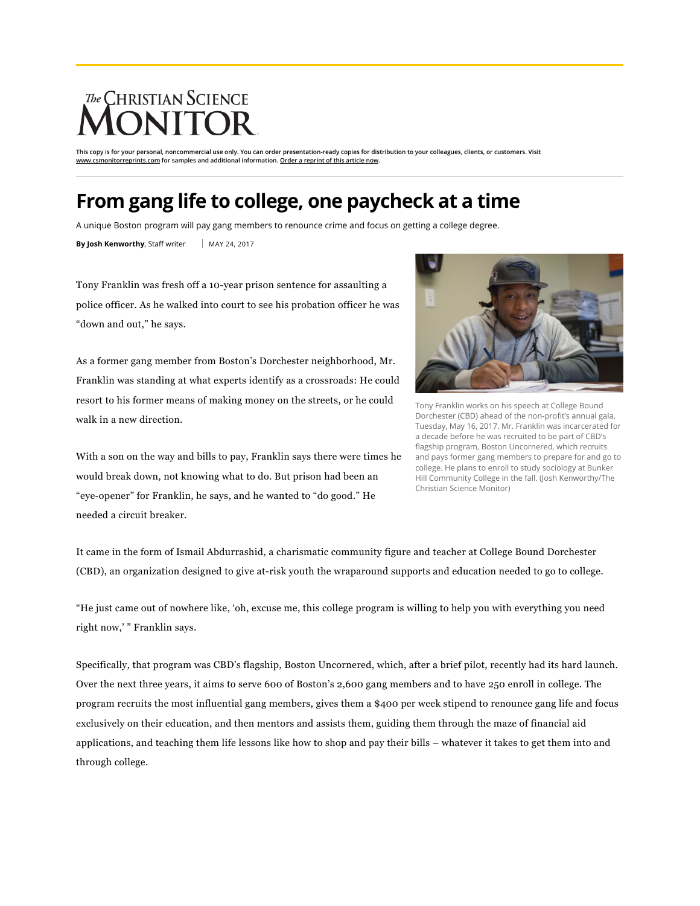## The CHRISTIAN SCIENCE

**This copy is for your personal, noncommercial use only. You can order presentation-ready copies for distribution to your colleagues, clients, or customers. Visit [www.csmonitorreprints.com](http://www.csmonitorreprints.com/) for samples and additional information. [Order a reprint of this article now](http://www.csmonitorreprints.com/).**

## **From gang life to college, one paycheck at a time**

A unique Boston program will pay gang members to renounce crime and focus on getting a college degree.

**By Josh Kenworthy**, Staff writer | MAY 24, 2017

Tony Franklin was fresh off a 10-year prison sentence for assaulting a police officer. As he walked into court to see his probation officer he was "down and out," he says.

As a former gang member from Boston's Dorchester neighborhood, Mr. Franklin was standing at what experts identify as a crossroads: He could resort to his former means of making money on the streets, or he could walk in a new direction.

With a son on the way and bills to pay, Franklin says there were times he would break down, not knowing what to do. But prison had been an "eye-opener" for Franklin, he says, and he wanted to "do good." He needed a circuit breaker.



Tony Franklin works on his speech at College Bound Dorchester (CBD) ahead of the non-profit's annual gala, Tuesday, May 16, 2017. Mr. Franklin was incarcerated for a decade before he was recruited to be part of CBD's flagship program, Boston Uncornered, which recruits and pays former gang members to prepare for and go to college. He plans to enroll to study sociology at Bunker Hill Community College in the fall. (Josh Kenworthy/The Christian Science Monitor)

It came in the form of Ismail Abdurrashid, a charismatic community figure and teacher at College Bound Dorchester (CBD), an organization designed to give at-risk youth the wraparound supports and education needed to go to college.

"He just came out of nowhere like, 'oh, excuse me, this college program is willing to help you with everything you need right now,' " Franklin says.

Specifically, that program was CBD's flagship, Boston Uncornered, which, after a brief pilot, recently had its hard launch. Over the next three years, it aims to serve 600 of Boston's 2,600 gang members and to have 250 enroll in college. The program recruits the most influential gang members, gives them a \$400 per week stipend to renounce gang life and focus exclusively on their education, and then mentors and assists them, guiding them through the maze of financial aid applications, and teaching them life lessons like how to shop and pay their bills – whatever it takes to get them into and through college.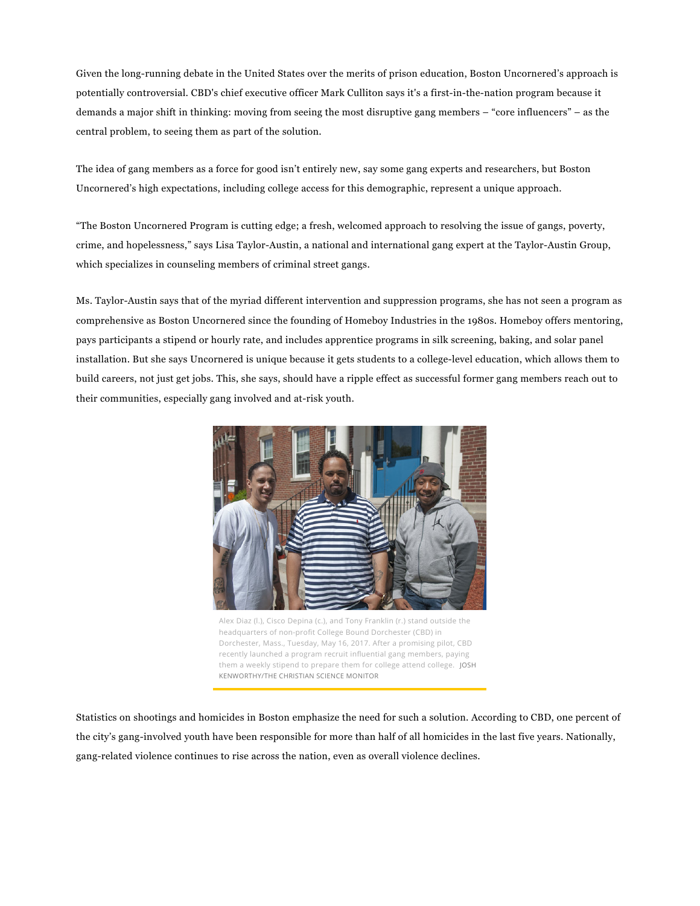Given the [long-running](http://www.prisoneducation.com/prison-education-facts/prison-education-controversial-history/) debate in the United States over the merits of prison education, Boston Uncornered's approach is potentially controversial. CBD's chief executive officer Mark Culliton says it's a first-in-the-nation program because it demands a major shift in thinking: moving from seeing the most disruptive gang members – "core influencers" – as the central problem, to seeing them as part of the solution.

The idea of gang members as a force for good isn't entirely new, say some gang experts and researchers, but Boston Uncornered's high expectations, including college access for this demographic, represent a unique approach.

"The Boston Uncornered Program is cutting edge; a fresh, welcomed approach to resolving the issue of gangs, poverty, crime, and hopelessness," says Lisa Taylor-Austin, a national and international gang expert at the Taylor-Austin Group, which specializes in counseling members of criminal street gangs.

Ms. Taylor-Austin says that of the myriad different intervention and suppression programs, she has not seen a program as comprehensive as Boston Uncornered since the founding of Homeboy Industries in the 1980s. Homeboy offers mentoring, pays participants a stipend or hourly rate, and includes apprentice programs in silk screening, baking, and solar panel installation. But she says Uncornered is unique because it gets students to a college-level education, which allows them to build careers, not just get jobs. This, she says, should have a ripple effect as successful former gang members reach out to their communities, especially gang involved and at-risk youth.



Alex Diaz (l.), Cisco Depina (c.), and Tony Franklin (r.) stand outside the headquarters of non-profit College Bound Dorchester (CBD) in Dorchester, Mass., Tuesday, May 16, 2017. After a promising pilot, CBD recently launched a program recruit influential gang members, paying them a weekly stipend to prepare them for college attend college. JOSH KENWORTHY/THE CHRISTIAN SCIENCE MONITOR

Statistics on shootings and homicides in Boston emphasize the need for such a solution. According to CBD, one percent of the city's gang-involved youth have been responsible for more than half of all homicides in the last five years. Nationally, gang-related violence continues to rise across the nation, even as overall violence [declines.](https://www.usnews.com/news/articles/2015/03/06/gang-violence-is-on-the-rise-even-as-overall-violence-declines)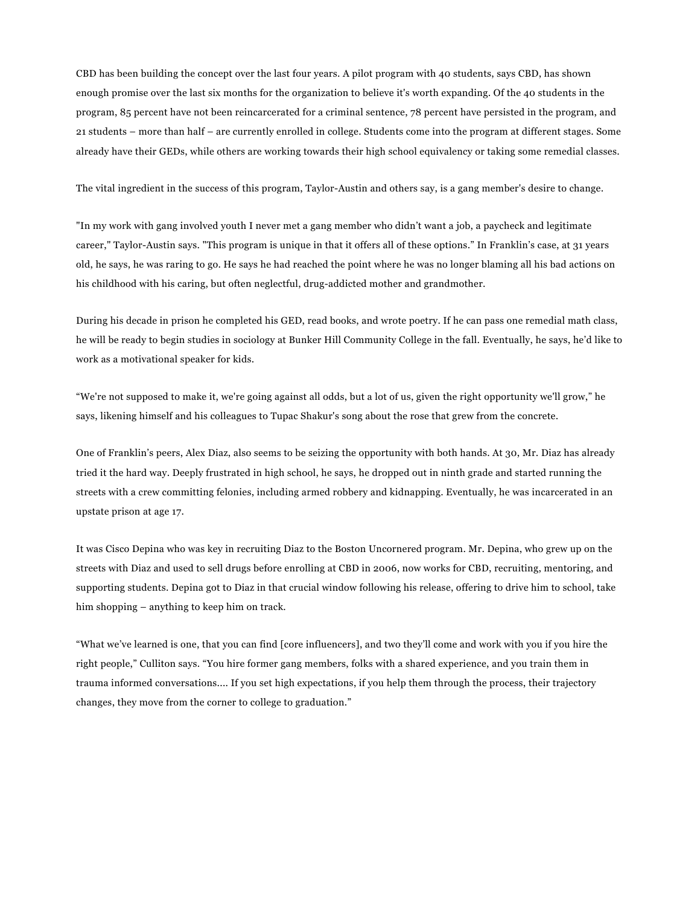CBD has been building the concept over the last four years. A pilot program with 40 students, says CBD, has shown enough promise over the last six months for the organization to believe it's worth expanding. Of the 40 students in the program, 85 percent have not been reincarcerated for a criminal sentence, 78 percent have persisted in the program, and 21 students – more than half – are currently enrolled in college. Students come into the program at different stages. Some already have their GEDs, while others are working towards their high school equivalency or taking some remedial classes.

The vital ingredient in the success of this program, Taylor-Austin and others say, is a gang member's desire to change.

"In my work with gang involved youth I never met a gang member who didn't want a job, a paycheck and legitimate career," Taylor-Austin says. "This program is unique in that it offers all of these options." In Franklin's case, at 31 years old, he says, he was raring to go. He says he had reached the point where he was no longer blaming all his bad actions on his childhood with his caring, but often neglectful, drug-addicted mother and grandmother.

During his decade in prison he completed his GED, read books, and wrote poetry. If he can pass one remedial math class, he will be ready to begin studies in sociology at Bunker Hill Community College in the fall. Eventually, he says, he'd like to work as a motivational speaker for kids.

"We're not supposed to make it, we're going against all odds, but a lot of us, given the right opportunity we'll grow," he says, likening himself and his colleagues to Tupac Shakur's song about the rose that grew from the concrete.

One of Franklin's peers, Alex Diaz, also seems to be seizing the opportunity with both hands. At 30, Mr. Diaz has already tried it the hard way. Deeply frustrated in high school, he says, he dropped out in ninth grade and started running the streets with a crew committing felonies, including armed robbery and kidnapping. Eventually, he was incarcerated in an upstate prison at age 17.

It was Cisco Depina who was key in recruiting Diaz to the Boston Uncornered program. Mr. Depina, who grew up on the streets with Diaz and used to sell drugs before enrolling at CBD in 2006, now works for CBD, recruiting, mentoring, and supporting students. Depina got to Diaz in that crucial window following his release, offering to drive him to school, take him shopping – anything to keep him on track.

"What we've learned is one, that you can find [core influencers], and two they'll come and work with you if you hire the right people," Culliton says. "You hire former gang members, folks with a shared experience, and you train them in trauma informed conversations.... If you set high expectations, if you help them through the process, their trajectory changes, they move from the corner to college to graduation."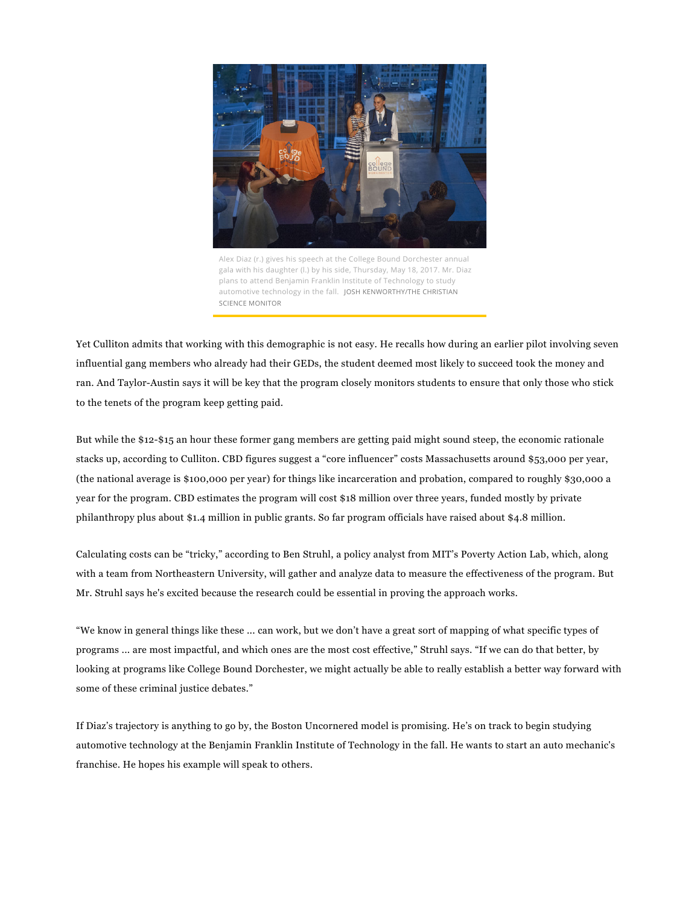

Alex Diaz (r.) gives his speech at the College Bound Dorchester annual gala with his daughter (l.) by his side, Thursday, May 18, 2017. Mr. Diaz plans to attend Benjamin Franklin Institute of Technology to study automotive technology in the fall. JOSH KENWORTHY/THE CHRISTIAN SCIENCE MONITOR

Yet Culliton admits that working with this demographic is not easy. He recalls how during an earlier pilot involving seven influential gang members who already had their GEDs, the student deemed most likely to succeed took the money and ran. And Taylor-Austin says it will be key that the program closely monitors students to ensure that only those who stick to the tenets of the program keep getting paid.

But while the \$12-\$15 an hour these former gang members are getting paid might sound steep, the economic rationale stacks up, according to Culliton. CBD figures suggest a "core influencer" costs Massachusetts around \$53,000 per year, (the national average is \$100,000 per year) for things like incarceration and probation, compared to roughly \$30,000 a year for the program. CBD estimates the program will cost \$18 million over three years, funded mostly by private philanthropy plus about \$1.4 million in public grants. So far program officials have raised about \$4.8 million.

Calculating costs can be "tricky," according to Ben Struhl, a policy analyst from MIT's Poverty Action Lab, which, along with a team from Northeastern University, will gather and analyze data to measure the effectiveness of the program. But Mr. Struhl says he's excited because the research could be essential in proving the approach works.

"We know in general things like these ... can work, but we don't have a great sort of mapping of what specific types of programs ... are most impactful, and which ones are the most cost effective," Struhl says. "If we can do that better, by looking at programs like College Bound Dorchester, we might actually be able to really establish a better way forward with some of these criminal justice debates."

If Diaz's trajectory is anything to go by, the Boston Uncornered model is promising. He's on track to begin studying automotive technology at the Benjamin Franklin Institute of Technology in the fall. He wants to start an auto mechanic's franchise. He hopes his example will speak to others.